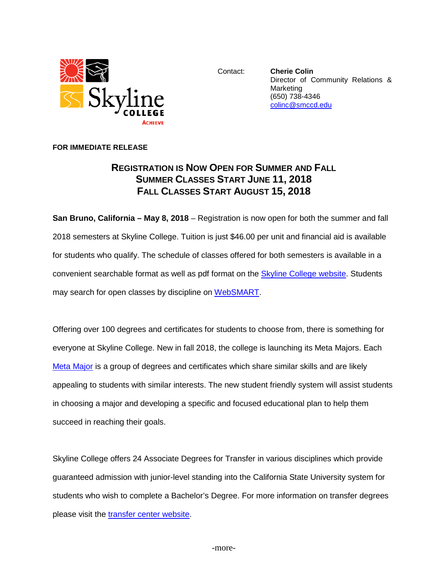

Contact: **Cherie Colin** Director of Community Relations & **Marketing** (650) 738-4346 [colinc@smccd.edu](mailto:colinc@smccd.edu) 

## **FOR IMMEDIATE RELEASE**

## **REGISTRATION IS NOW OPEN FOR SUMMER AND FALL SUMMER CLASSES START JUNE 11, 2018 FALL CLASSES START AUGUST 15, 2018**

**San Bruno, California – May 8, 2018** – Registration is now open for both the summer and fall 2018 semesters at Skyline College. Tuition is just \$46.00 per unit and financial aid is available for students who qualify. The schedule of classes offered for both semesters is available in a convenient searchable format as well as pdf format on the [Skyline College website.](http://www.skylinecollege.edu/catalogschedule/) Students may search for open classes by discipline on [WebSMART.](https://websmart.smccd.edu/)

Offering over 100 degrees and certificates for students to choose from, there is something for everyone at Skyline College. New in fall 2018, the college is launching its Meta Majors. Each [Meta Major](http://skylinecollege.edu/metamajors/) is a group of degrees and certificates which share similar skills and are likely appealing to students with similar interests. The new student friendly system will assist students in choosing a major and developing a specific and focused educational plan to help them succeed in reaching their goals.

Skyline College offers 24 Associate Degrees for Transfer in various disciplines which provide guaranteed admission with junior-level standing into the California State University system for students who wish to complete a Bachelor's Degree. For more information on transfer degrees please visit the [transfer center website.](http://www.skylinecollege.edu/transfercenter/transferdegrees.php)